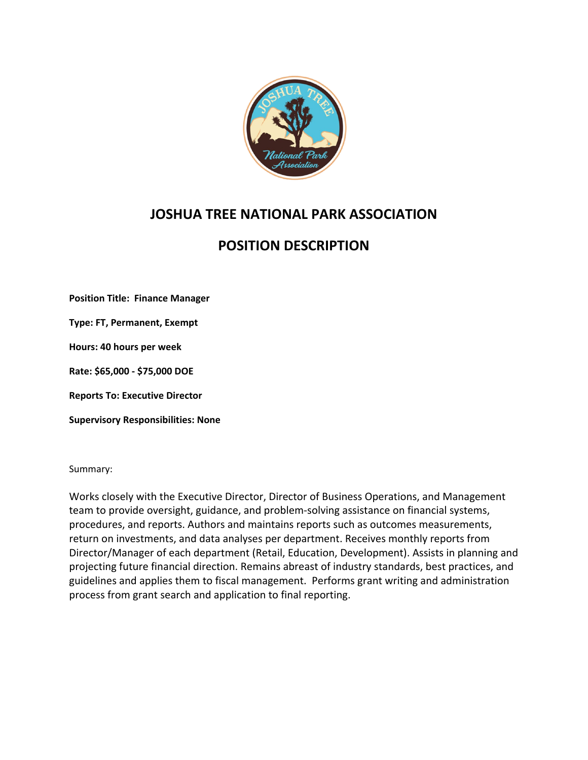

# **JOSHUA TREE NATIONAL PARK ASSOCIATION**

# **POSITION DESCRIPTION**

**Position Title: Finance Manager**

**Type: FT, Permanent, Exempt**

**Hours: 40 hours per week**

**Rate: \$65,000 - \$75,000 DOE**

**Reports To: Executive Director**

**Supervisory Responsibilities: None**

Summary:

Works closely with the Executive Director, Director of Business Operations, and Management team to provide oversight, guidance, and problem-solving assistance on financial systems, procedures, and reports. Authors and maintains reports such as outcomes measurements, return on investments, and data analyses per department. Receives monthly reports from Director/Manager of each department (Retail, Education, Development). Assists in planning and projecting future financial direction. Remains abreast of industry standards, best practices, and guidelines and applies them to fiscal management. Performs grant writing and administration process from grant search and application to final reporting.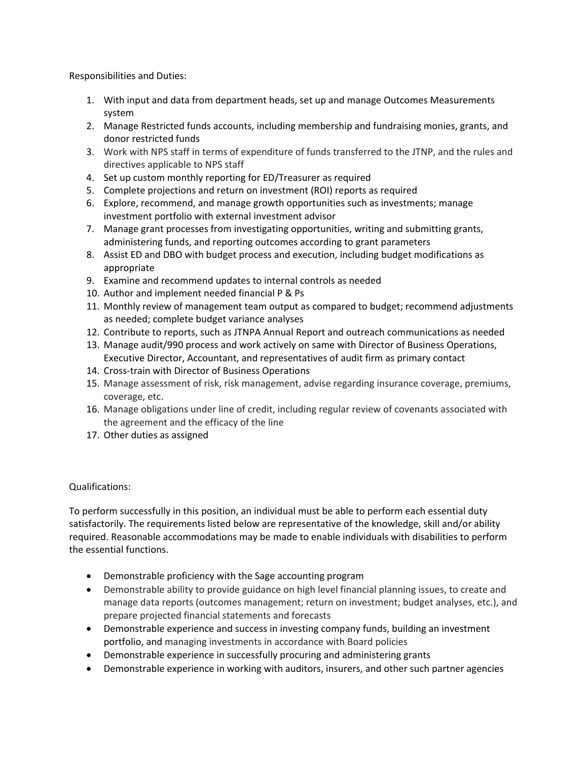Responsibilities and Duties:

- 1. With input and data from department heads, set up and manage Outcomes Measurements system
- 2. Manage Restricted funds accounts, including membership and fundraising monies, grants, and donor restricted funds
- 3. Work with NPS staff in terms of expenditure of funds transferred to the JTNP, and the rules and directives applicable to NPS staff
- 4. Set up custom monthly reporting for ED/Treasurer as required
- 5. Complete projections and return on investment (ROI) reports as required
- 6. Explore, recommend, and manage growth opportunities such as investments; manage investment portfolio with external investment advisor
- 7. Manage grant processes from investigating opportunities, writing and submitting grants, administering funds, and reporting outcomes according to grant parameters
- 8. Assist ED and DBO with budget process and execution, including budget modifications as appropriate
- 9. Examine and recommend updates to internal controls as needed
- 10. Author and implement needed financial P & Ps
- 11. Monthly review of management team output as compared to budget; recommend adjustments as needed; complete budget variance analyses
- 12. Contribute to reports, such as JTNPA Annual Report and outreach communications as needed
- 13. Manage audit/990 process and work actively on same with Director of Business Operations, Executive Director, Accountant, and representatives of audit firm as primary contact
- 14. Cross-train with Director of Business Operations
- 15. Manage assessment of risk, risk management, advise regarding insurance coverage, premiums, coverage, etc.
- 16. Manage obligations under line of credit, including regular review of covenants associated with the agreement and the efficacy of the line
- 17. Other duties as assigned

## Qualifications:

To perform successfully in this position, an individual must be able to perform each essential duty satisfactorily. The requirements listed below are representative of the knowledge, skill and/or ability required. Reasonable accommodations may be made to enable individuals with disabilities to perform the essential functions.

- Demonstrable proficiency with the Sage accounting program
- Demonstrable ability to provide guidance on high level financial planning issues, to create and manage data reports (outcomes management; return on investment; budget analyses, etc.), and prepare projected financial statements and forecasts
- Demonstrable experience and success in investing company funds, building an investment portfolio, and managing investments in accordance with Board policies
- Demonstrable experience in successfully procuring and administering grants
- Demonstrable experience in working with auditors, insurers, and other such partner agencies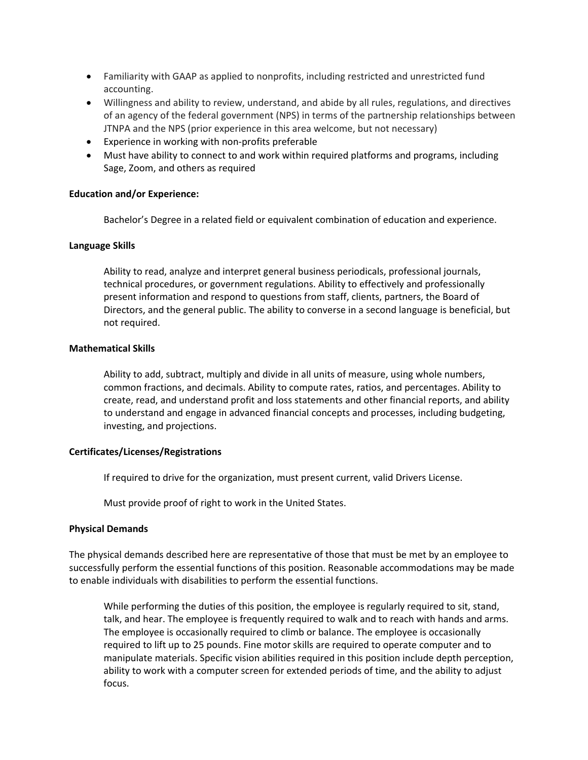- Familiarity with GAAP as applied to nonprofits, including restricted and unrestricted fund accounting.
- Willingness and ability to review, understand, and abide by all rules, regulations, and directives of an agency of the federal government (NPS) in terms of the partnership relationships between JTNPA and the NPS (prior experience in this area welcome, but not necessary)
- Experience in working with non-profits preferable
- Must have ability to connect to and work within required platforms and programs, including Sage, Zoom, and others as required

## **Education and/or Experience:**

Bachelor's Degree in a related field or equivalent combination of education and experience.

### **Language Skills**

Ability to read, analyze and interpret general business periodicals, professional journals, technical procedures, or government regulations. Ability to effectively and professionally present information and respond to questions from staff, clients, partners, the Board of Directors, and the general public. The ability to converse in a second language is beneficial, but not required.

## **Mathematical Skills**

Ability to add, subtract, multiply and divide in all units of measure, using whole numbers, common fractions, and decimals. Ability to compute rates, ratios, and percentages. Ability to create, read, and understand profit and loss statements and other financial reports, and ability to understand and engage in advanced financial concepts and processes, including budgeting, investing, and projections.

#### **Certificates/Licenses/Registrations**

If required to drive for the organization, must present current, valid Drivers License.

Must provide proof of right to work in the United States.

#### **Physical Demands**

The physical demands described here are representative of those that must be met by an employee to successfully perform the essential functions of this position. Reasonable accommodations may be made to enable individuals with disabilities to perform the essential functions.

While performing the duties of this position, the employee is regularly required to sit, stand, talk, and hear. The employee is frequently required to walk and to reach with hands and arms. The employee is occasionally required to climb or balance. The employee is occasionally required to lift up to 25 pounds. Fine motor skills are required to operate computer and to manipulate materials. Specific vision abilities required in this position include depth perception, ability to work with a computer screen for extended periods of time, and the ability to adjust focus.